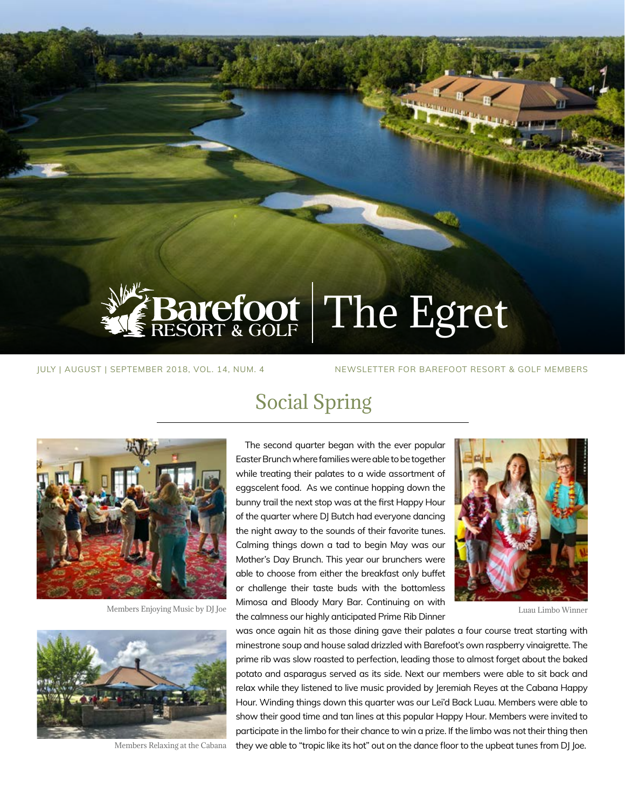

JULY | AUGUST | SEPTEMBER 2018, VOL. 14, NUM. 4 NEWSLETTER FOR BAREFOOT RESORT & GOLF MEMBERS

### Social Spring



Members Enjoying Music by DJ Joe



Members Relaxing at the Cabana

The second quarter began with the ever popular Easter Brunch where families were able to be together while treating their palates to a wide assortment of eggscelent food. As we continue hopping down the bunny trail the next stop was at the first Happy Hour of the quarter where DJ Butch had everyone dancing the night away to the sounds of their favorite tunes. Calming things down a tad to begin May was our Mother's Day Brunch. This year our brunchers were able to choose from either the breakfast only buffet or challenge their taste buds with the bottomless Mimosa and Bloody Mary Bar. Continuing on with the calmness our highly anticipated Prime Rib Dinner



Luau Limbo Winner

was once again hit as those dining gave their palates a four course treat starting with minestrone soup and house salad drizzled with Barefoot's own raspberry vinaigrette. The prime rib was slow roasted to perfection, leading those to almost forget about the baked potato and asparagus served as its side. Next our members were able to sit back and relax while they listened to live music provided by Jeremiah Reyes at the Cabana Happy Hour. Winding things down this quarter was our Lei'd Back Luau. Members were able to show their good time and tan lines at this popular Happy Hour. Members were invited to participate in the limbo for their chance to win a prize. If the limbo was not their thing then they we able to "tropic like its hot" out on the dance floor to the upbeat tunes from DJ Joe.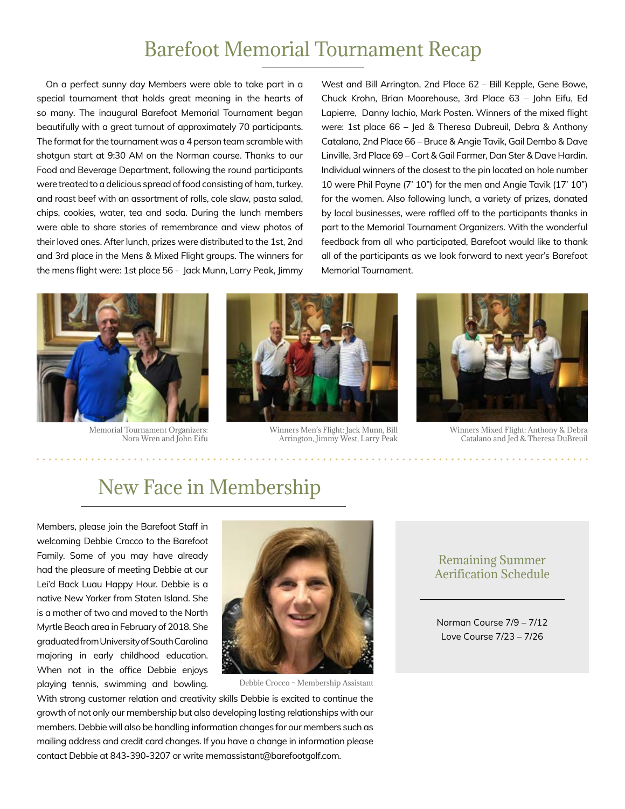# Barefoot Memorial Tournament Recap

On a perfect sunny day Members were able to take part in a special tournament that holds great meaning in the hearts of so many. The inaugural Barefoot Memorial Tournament began beautifully with a great turnout of approximately 70 participants. The format for the tournament was a 4 person team scramble with shotgun start at 9:30 AM on the Norman course. Thanks to our Food and Beverage Department, following the round participants were treated to a delicious spread of food consisting of ham, turkey, and roast beef with an assortment of rolls, cole slaw, pasta salad, chips, cookies, water, tea and soda. During the lunch members were able to share stories of remembrance and view photos of their loved ones. After lunch, prizes were distributed to the 1st, 2nd and 3rd place in the Mens & Mixed Flight groups. The winners for the mens flight were: 1st place 56 - Jack Munn, Larry Peak, Jimmy

West and Bill Arrington, 2nd Place 62 – Bill Kepple, Gene Bowe, Chuck Krohn, Brian Moorehouse, 3rd Place 63 – John Eifu, Ed Lapierre, Danny Iachio, Mark Posten. Winners of the mixed flight were: 1st place 66 – Jed & Theresa Dubreuil, Debra & Anthony Catalano, 2nd Place 66 – Bruce & Angie Tavik, Gail Dembo & Dave Linville, 3rd Place 69 – Cort & Gail Farmer, Dan Ster & Dave Hardin. Individual winners of the closest to the pin located on hole number 10 were Phil Payne (7' 10") for the men and Angie Tavik (17' 10") for the women. Also following lunch, a variety of prizes, donated by local businesses, were raffled off to the participants thanks in part to the Memorial Tournament Organizers. With the wonderful feedback from all who participated, Barefoot would like to thank all of the participants as we look forward to next year's Barefoot Memorial Tournament.



Memorial Tournament Organizers: Nora Wren and John Eifu



Winners Men's Flight: Jack Munn, Bill Arrington, Jimmy West, Larry Peak



Winners Mixed Flight: Anthony & Debra Catalano and Jed & Theresa DuBreuil

### New Face in Membership

Members, please join the Barefoot Staff in welcoming Debbie Crocco to the Barefoot Family. Some of you may have already had the pleasure of meeting Debbie at our Lei'd Back Luau Happy Hour. Debbie is a native New Yorker from Staten Island. She is a mother of two and moved to the North Myrtle Beach area in February of 2018. She graduated from University of South Carolina majoring in early childhood education. When not in the office Debbie enjoys playing tennis, swimming and bowling.



Debbie Crocco – Membership Assistant

With strong customer relation and creativity skills Debbie is excited to continue the growth of not only our membership but also developing lasting relationships with our members. Debbie will also be handling information changes for our members such as mailing address and credit card changes. If you have a change in information please contact Debbie at 843-390-3207 or write memassistant@barefootgolf.com.

### Remaining Summer Aerification Schedule

Norman Course 7/9 – 7/12 Love Course 7/23 – 7/26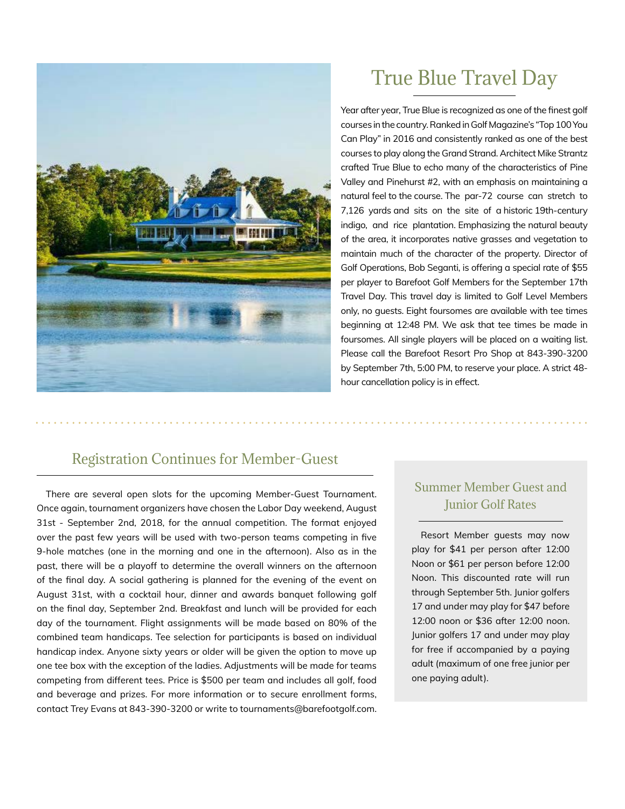

# True Blue Travel Day

Year after year, True Blue is recognized as one of the finest golf courses in the country. Ranked in Golf Magazine's "Top 100 You Can Play" in 2016 and consistently ranked as one of the best courses to play along the Grand Strand. Architect Mike Strantz crafted True Blue to echo many of the characteristics of Pine Valley and Pinehurst #2, with an emphasis on maintaining a natural feel to the course. The par-72 course can stretch to 7,126 yards and sits on the site of a historic 19th-century indigo, and rice plantation. Emphasizing the natural beauty of the area, it incorporates native grasses and vegetation to maintain much of the character of the property. Director of Golf Operations, Bob Seganti, is offering a special rate of \$55 per player to Barefoot Golf Members for the September 17th Travel Day. This travel day is limited to Golf Level Members only, no guests. Eight foursomes are available with tee times beginning at 12:48 PM. We ask that tee times be made in foursomes. All single players will be placed on a waiting list. Please call the Barefoot Resort Pro Shop at 843-390-3200 by September 7th, 5:00 PM, to reserve your place. A strict 48 hour cancellation policy is in effect.

### Registration Continues for Member-Guest

There are several open slots for the upcoming Member-Guest Tournament. Once again, tournament organizers have chosen the Labor Day weekend, August 31st - September 2nd, 2018, for the annual competition. The format enjoyed over the past few years will be used with two-person teams competing in five 9-hole matches (one in the morning and one in the afternoon). Also as in the past, there will be a playoff to determine the overall winners on the afternoon of the final day. A social gathering is planned for the evening of the event on August 31st, with a cocktail hour, dinner and awards banquet following golf on the final day, September 2nd. Breakfast and lunch will be provided for each day of the tournament. Flight assignments will be made based on 80% of the combined team handicaps. Tee selection for participants is based on individual handicap index. Anyone sixty years or older will be given the option to move up one tee box with the exception of the ladies. Adjustments will be made for teams competing from different tees. Price is \$500 per team and includes all golf, food and beverage and prizes. For more information or to secure enrollment forms, contact Trey Evans at 843-390-3200 or write to tournaments@barefootgolf.com.

### Summer Member Guest and Junior Golf Rates

Resort Member guests may now play for \$41 per person after 12:00 Noon or \$61 per person before 12:00 Noon. This discounted rate will run through September 5th. Junior golfers 17 and under may play for \$47 before 12:00 noon or \$36 after 12:00 noon. Junior golfers 17 and under may play for free if accompanied by a paying adult (maximum of one free junior per one paying adult).